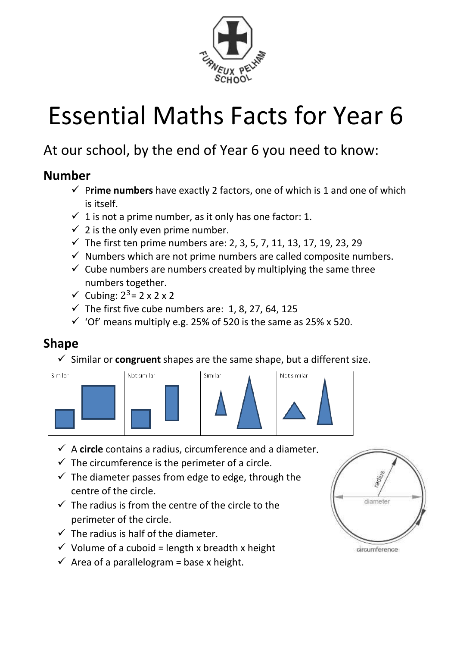

# Essential Maths Facts for Year 6

# At our school, by the end of Year 6 you need to know:

#### **Number**

- ✓ P**rime numbers** have exactly 2 factors, one of which is 1 and one of which is itself.
- $\checkmark$  1 is not a prime number, as it only has one factor: 1.
- $\checkmark$  2 is the only even prime number.
- $\checkmark$  The first ten prime numbers are: 2, 3, 5, 7, 11, 13, 17, 19, 23, 29
- $\checkmark$  Numbers which are not prime numbers are called composite numbers.
- $\checkmark$  Cube numbers are numbers created by multiplying the same three numbers together.
- $\checkmark$  Cubing:  $2^3$  = 2 x 2 x 2
- $\checkmark$  The first five cube numbers are: 1, 8, 27, 64, 125
- $\checkmark$  'Of' means multiply e.g. 25% of 520 is the same as 25% x 520.

## **Shape**

 $\checkmark$  Similar or **congruent** shapes are the same shape, but a different size.



- ✓ A **circle** contains a radius, circumference and a diameter.
- $\checkmark$  The circumference is the perimeter of a circle.
- $\checkmark$  The diameter passes from edge to edge, through the centre of the circle.
- $\checkmark$  The radius is from the centre of the circle to the perimeter of the circle.
- $\checkmark$  The radius is half of the diameter.
- $\checkmark$  Volume of a cuboid = length x breadth x height
- $\checkmark$  Area of a parallelogram = base x height.